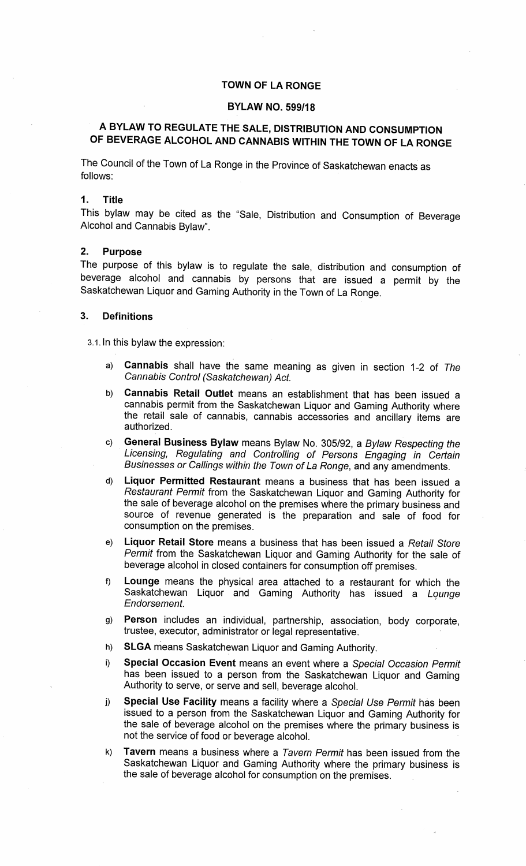## TOWN OF LA RONGE

#### BYLAW NO. 599/18

# A BYLAW TO REGULATE THE SALE, DISTRIBUTION AND CONSUMPTIONOF BEVERAGE ALCOHOL AND CANNABIS WITHIN THE TOWN OF LA RONGE

The Council of the Town of La Ronge in the Province of Saskatchewan enacts asfollows:

### 1. Title

This bylaw may be cited as the "Sale, Distribution and Consumption of Beverage Alcohol and Cannabis Bylaw".

#### 2. Purpose

 The purpose of this bylaw is to regulate the sale, distribution and consumption of beverage alcohol and cannabis by persons that are issued a permit by theSaskatchewan Liquor and Gaming Authority in the Town of La Ronge.

#### 3. Definitions

3.1. In this bylaw the expression:

- a) Cannabis shall have the same meaning as given in section 1-2 of TheCannabis Control (Saskatchewan) Act.
- b) Cannabis Retail Outlet means an establishment that has been issued aannabis permit from the Saskatchewan Liquor and Gaming Authority where the retail sale of cannabis, cannabis accessories and ancillary items areauthorized.
- c) General Business Bylaw means Bylaw No. 305/92, a Bylaw Respecting the Licensing, Regulating and Controlling of Persons Engaging in CertainBusinesses or Callings within the Town of La Ronge, and any amendments.
- d) Liquor Permitted Restaurant means a business that has been issued aRestaurant Permit from the Saskatchewan Liquor and Gaming Authority for he sale of beverage alcohol on the premises where the primary business and source of revenue generated is the preparation and sale of food forconsumption on the premises.
- e) Liquor Retail Store means a business that has been issued a Retail Store'ermit from the Saskatchewan Liquor and Gaming Authority for the sale of beverage alcohol in closed containers for consumption off premises.
- f) Lounge means the physical area attached to a restaurant for which theaskatchewan Liquor and Gaming Authority has issued a *Lounge* Endorsement.
- g) Person includes an individual, partnership, association, body corporate,trustee, executor, administrator or legal representative.
- h) SLGA means Saskatchewan Liquor and Gaming Authority.
- i) Special Occasion Event means an event where a Special Occasion Permit as been issued to a person from the Saskatchewan Liquor and Gaming Authority to serve, or serve and sell, beverage alcohol.
- j) Special Use Facility means a facility where a Special Use Permit has been isued to a person from the Saskatchewan Liquor and Gaming Authority for he sale of beverage alcohol on the premises where the primary business is not the service of food or beverage alcohol.
- k) Tavern means a business where a Tavern Permit has been issued from theaskatchewan Liquor and Gaming Authority where the primary business is the sale of beverage alcohol for consumption on the premises.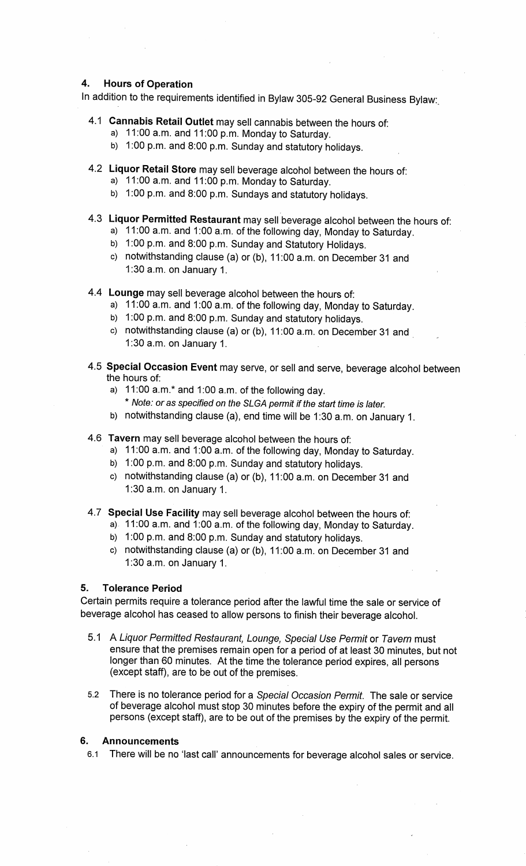## 4. Hours of Operation

In addition to the requirements identified in Bylaw 305-92 General Business Bylaw

- 4.1 Cannabis Retail Outlet may sell cannabis between the hours of:
	- a) 11:00 a.m. and 11:00 p.m. Monday to Saturday.
	- b) 1:00 p.m. and 8:00 p.m. Sunday and statutory holidays.
- 4.2 Liquor Retail Store may sell beverage alcohol between the hours of:
	- a) 11:00 a.m. and 11:00 p.m. Monday to Saturday.
	- ده) 1:00 p.m. and 8:00 p.m. Sundays and statutory holidays
- 4.3 Liquor Permitted Restaurant may sell beverage alcohol between the hours of:
	- a) 11:00 a.m. and 1:00 a.m. of the following day, Monday to Saturday.
	- b) 1:00 p.m. and 8:00 p.m. Sunday and Statutory Holidays.
	- c) notwithstanding clause (a) or (b), 11:00 a.m. on December 31 and1:30 a.m. on January 1.
- 4.4 Lounge may sell beverage alcohol between the hours of:
	- a) 11:00 a.m. and 1:00 a.m. of the following day, Monday to Saturday
	- b) 1:00 p.m. and 8:00 p.m. Sunday and statutory holidays.
	- c) notwithstanding clause (a) or (b), 11:00 a.m. on December 31 and1:30a.m. on January 1.
- 4.5 Special Occasion Event may serve, or sell and serve, beverage alcohol betweenthe hours of:
	- a) 11:00 a.m.\* and 1:00 a.m. of the following day.
		- $^{\cdot}$  Note: or as specified on the SLGA permit if the start time is later.
	- b) notwithstanding clause (a), end time will be 1:30 a.m. on January 1.
- 4.6 Tavern may sell beverage alcohol between the hours of:
	- a) 11:00 a.m. and 1:00 a.m. of the following day, Monday to Saturday.
	- b) 1:00 p.m. and 8:00 p.m. Sunday and statutory holidays.
	- ) notwithstanding clause (a) or (b), 11:00 a.m. on December 31 and 1:30a.m. on January 1.
- 4.7 Special Use Facility may sell beverage alcohol between the hours of:
	- )  $\,$  11:00 a.m. and 1:00 a.m. of the following day, Monday to Saturday.
	- b) 1:00 p.m. and 8:00 p.m. Sunday and statutory holidays.
	- ) notwithstanding clause (a) or (b), 11:00 a.m. on December 31 and 1:30 a.m. on January 1.

#### 5. Tolerance Period

certain permits require a tolerance period after the lawful time the sale or service of beverage alcohol has ceased to allow persons to finish their beverage alcohol.

- 5.1 A Liquor Permitted Restaurant, Lounge, Special Use Permit or Tavern mustnsure that the premises remain open for a period of at least 30 minutes, but not longer than 60 minutes. At the time the tolerance period expires, all persons(except staff), are to be out of the premises.
- 5.2 There is no tolerance period for a Special Occasion Permit. The sale or servicer beverage alcohol must stop 30 minutes before the expiry of the permit and all persons (except staff), are to be out of the premises by the expiry of the permit.

## 6. Announcements

1 There will be no 'last call' announcements for beverage alcohol sales or service.